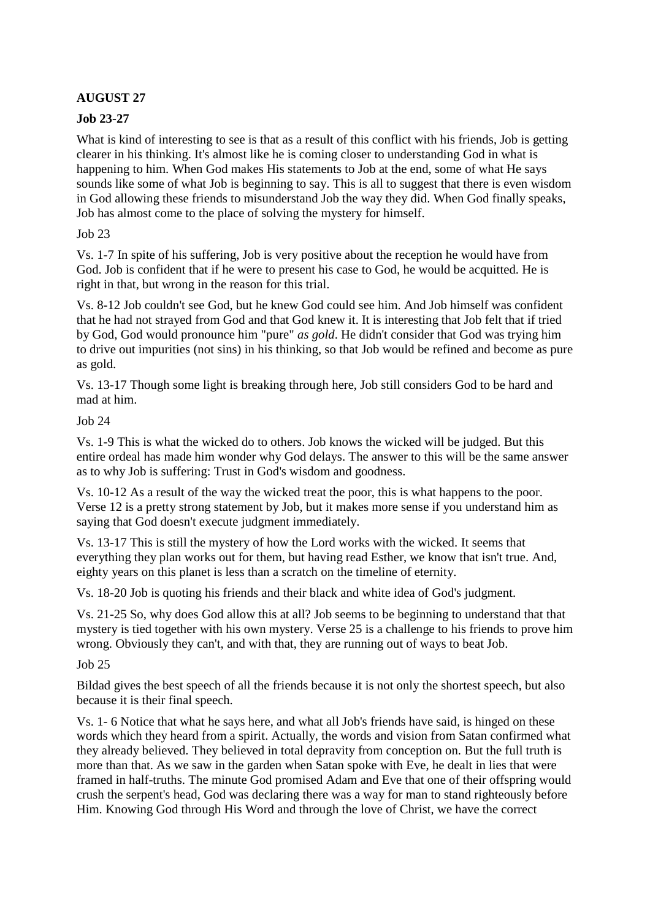# **AUGUST 27**

### **Job 23-27**

What is kind of interesting to see is that as a result of this conflict with his friends. Job is getting clearer in his thinking. It's almost like he is coming closer to understanding God in what is happening to him. When God makes His statements to Job at the end, some of what He says sounds like some of what Job is beginning to say. This is all to suggest that there is even wisdom in God allowing these friends to misunderstand Job the way they did. When God finally speaks, Job has almost come to the place of solving the mystery for himself.

### Job 23

Vs. 1-7 In spite of his suffering, Job is very positive about the reception he would have from God. Job is confident that if he were to present his case to God, he would be acquitted. He is right in that, but wrong in the reason for this trial.

Vs. 8-12 Job couldn't see God, but he knew God could see him. And Job himself was confident that he had not strayed from God and that God knew it. It is interesting that Job felt that if tried by God, God would pronounce him "pure" *as gold*. He didn't consider that God was trying him to drive out impurities (not sins) in his thinking, so that Job would be refined and become as pure as gold.

Vs. 13-17 Though some light is breaking through here, Job still considers God to be hard and mad at him.

### Job 24

Vs. 1-9 This is what the wicked do to others. Job knows the wicked will be judged. But this entire ordeal has made him wonder why God delays. The answer to this will be the same answer as to why Job is suffering: Trust in God's wisdom and goodness.

Vs. 10-12 As a result of the way the wicked treat the poor, this is what happens to the poor. Verse 12 is a pretty strong statement by Job, but it makes more sense if you understand him as saying that God doesn't execute judgment immediately.

Vs. 13-17 This is still the mystery of how the Lord works with the wicked. It seems that everything they plan works out for them, but having read Esther, we know that isn't true. And, eighty years on this planet is less than a scratch on the timeline of eternity.

Vs. 18-20 Job is quoting his friends and their black and white idea of God's judgment.

Vs. 21-25 So, why does God allow this at all? Job seems to be beginning to understand that that mystery is tied together with his own mystery. Verse 25 is a challenge to his friends to prove him wrong. Obviously they can't, and with that, they are running out of ways to beat Job.

#### Job 25

Bildad gives the best speech of all the friends because it is not only the shortest speech, but also because it is their final speech.

Vs. 1- 6 Notice that what he says here, and what all Job's friends have said, is hinged on these words which they heard from a spirit. Actually, the words and vision from Satan confirmed what they already believed. They believed in total depravity from conception on. But the full truth is more than that. As we saw in the garden when Satan spoke with Eve, he dealt in lies that were framed in half-truths. The minute God promised Adam and Eve that one of their offspring would crush the serpent's head, God was declaring there was a way for man to stand righteously before Him. Knowing God through His Word and through the love of Christ, we have the correct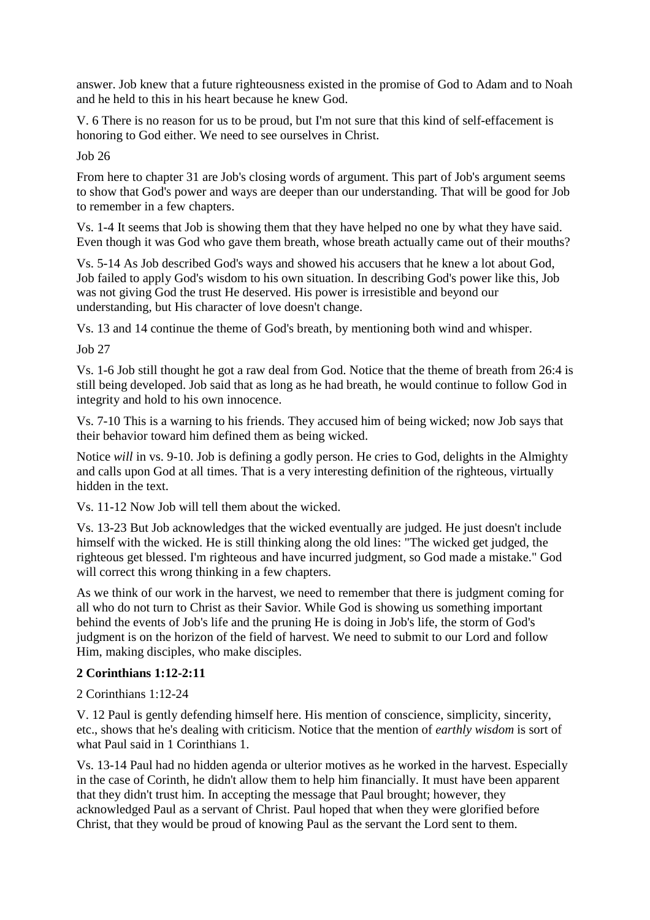answer. Job knew that a future righteousness existed in the promise of God to Adam and to Noah and he held to this in his heart because he knew God.

V. 6 There is no reason for us to be proud, but I'm not sure that this kind of self-effacement is honoring to God either. We need to see ourselves in Christ.

Job 26

From here to chapter 31 are Job's closing words of argument. This part of Job's argument seems to show that God's power and ways are deeper than our understanding. That will be good for Job to remember in a few chapters.

Vs. 1-4 It seems that Job is showing them that they have helped no one by what they have said. Even though it was God who gave them breath, whose breath actually came out of their mouths?

Vs. 5-14 As Job described God's ways and showed his accusers that he knew a lot about God, Job failed to apply God's wisdom to his own situation. In describing God's power like this, Job was not giving God the trust He deserved. His power is irresistible and beyond our understanding, but His character of love doesn't change.

Vs. 13 and 14 continue the theme of God's breath, by mentioning both wind and whisper.

Job 27

Vs. 1-6 Job still thought he got a raw deal from God. Notice that the theme of breath from 26:4 is still being developed. Job said that as long as he had breath, he would continue to follow God in integrity and hold to his own innocence.

Vs. 7-10 This is a warning to his friends. They accused him of being wicked; now Job says that their behavior toward him defined them as being wicked.

Notice *will* in vs. 9-10. Job is defining a godly person. He cries to God, delights in the Almighty and calls upon God at all times. That is a very interesting definition of the righteous, virtually hidden in the text.

Vs. 11-12 Now Job will tell them about the wicked.

Vs. 13-23 But Job acknowledges that the wicked eventually are judged. He just doesn't include himself with the wicked. He is still thinking along the old lines: "The wicked get judged, the righteous get blessed. I'm righteous and have incurred judgment, so God made a mistake." God will correct this wrong thinking in a few chapters.

As we think of our work in the harvest, we need to remember that there is judgment coming for all who do not turn to Christ as their Savior. While God is showing us something important behind the events of Job's life and the pruning He is doing in Job's life, the storm of God's judgment is on the horizon of the field of harvest. We need to submit to our Lord and follow Him, making disciples, who make disciples.

## **2 Corinthians 1:12-2:11**

2 Corinthians 1:12-24

V. 12 Paul is gently defending himself here. His mention of conscience, simplicity, sincerity, etc., shows that he's dealing with criticism. Notice that the mention of *earthly wisdom* is sort of what Paul said in 1 Corinthians 1.

Vs. 13-14 Paul had no hidden agenda or ulterior motives as he worked in the harvest. Especially in the case of Corinth, he didn't allow them to help him financially. It must have been apparent that they didn't trust him. In accepting the message that Paul brought; however, they acknowledged Paul as a servant of Christ. Paul hoped that when they were glorified before Christ, that they would be proud of knowing Paul as the servant the Lord sent to them.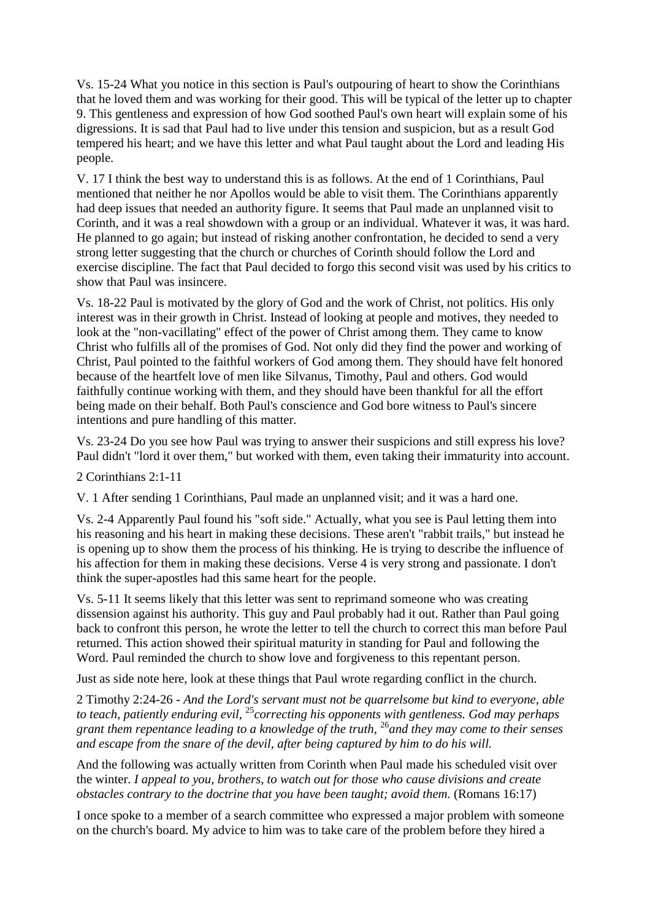Vs. 15-24 What you notice in this section is Paul's outpouring of heart to show the Corinthians that he loved them and was working for their good. This will be typical of the letter up to chapter 9. This gentleness and expression of how God soothed Paul's own heart will explain some of his digressions. It is sad that Paul had to live under this tension and suspicion, but as a result God tempered his heart; and we have this letter and what Paul taught about the Lord and leading His people.

V. 17 I think the best way to understand this is as follows. At the end of 1 Corinthians, Paul mentioned that neither he nor Apollos would be able to visit them. The Corinthians apparently had deep issues that needed an authority figure. It seems that Paul made an unplanned visit to Corinth, and it was a real showdown with a group or an individual. Whatever it was, it was hard. He planned to go again; but instead of risking another confrontation, he decided to send a very strong letter suggesting that the church or churches of Corinth should follow the Lord and exercise discipline. The fact that Paul decided to forgo this second visit was used by his critics to show that Paul was insincere.

Vs. 18-22 Paul is motivated by the glory of God and the work of Christ, not politics. His only interest was in their growth in Christ. Instead of looking at people and motives, they needed to look at the "non-vacillating" effect of the power of Christ among them. They came to know Christ who fulfills all of the promises of God. Not only did they find the power and working of Christ, Paul pointed to the faithful workers of God among them. They should have felt honored because of the heartfelt love of men like Silvanus, Timothy, Paul and others. God would faithfully continue working with them, and they should have been thankful for all the effort being made on their behalf. Both Paul's conscience and God bore witness to Paul's sincere intentions and pure handling of this matter.

Vs. 23-24 Do you see how Paul was trying to answer their suspicions and still express his love? Paul didn't "lord it over them," but worked with them, even taking their immaturity into account.

### 2 Corinthians 2:1-11

V. 1 After sending 1 Corinthians, Paul made an unplanned visit; and it was a hard one.

Vs. 2-4 Apparently Paul found his "soft side." Actually, what you see is Paul letting them into his reasoning and his heart in making these decisions. These aren't "rabbit trails," but instead he is opening up to show them the process of his thinking. He is trying to describe the influence of his affection for them in making these decisions. Verse 4 is very strong and passionate. I don't think the super-apostles had this same heart for the people.

Vs. 5-11 It seems likely that this letter was sent to reprimand someone who was creating dissension against his authority. This guy and Paul probably had it out. Rather than Paul going back to confront this person, he wrote the letter to tell the church to correct this man before Paul returned. This action showed their spiritual maturity in standing for Paul and following the Word. Paul reminded the church to show love and forgiveness to this repentant person.

Just as side note here, look at these things that Paul wrote regarding conflict in the church.

2 Timothy 2:24-26 *- And the Lord's servant must not be quarrelsome but kind to everyone, able to teach, patiently enduring evil,* <sup>25</sup>*correcting his opponents with gentleness. God may perhaps grant them repentance leading to a knowledge of the truth,* <sup>26</sup>*and they may come to their senses and escape from the snare of the devil, after being captured by him to do his will.* 

And the following was actually written from Corinth when Paul made his scheduled visit over the winter. *I appeal to you, brothers, to watch out for those who cause divisions and create obstacles contrary to the doctrine that you have been taught; avoid them.* (Romans 16:17)

I once spoke to a member of a search committee who expressed a major problem with someone on the church's board. My advice to him was to take care of the problem before they hired a